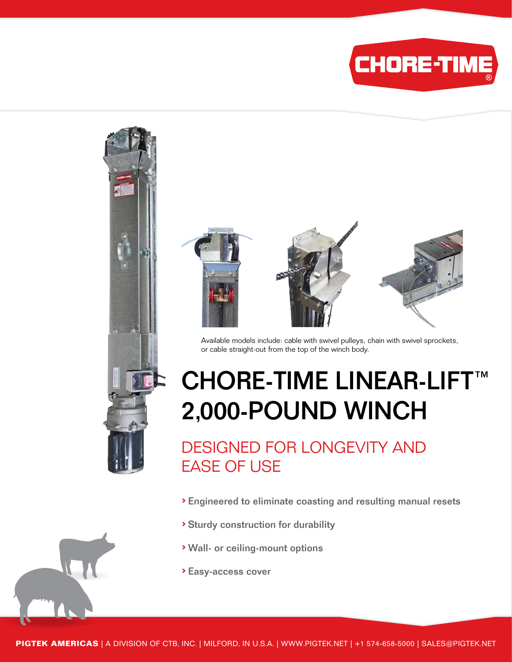



Available models include: cable with swivel pulleys, chain with swivel sprockets, or cable straight-out from the top of the winch body.

## CHORE-TIME LINEAR-LIFT™ 2,000-POUND WINCH

DESIGNED FOR LONGEVITY AND EASE OF USE

- › Engineered to eliminate coasting and resulting manual resets
- › Sturdy construction for durability
- › Wall- or ceiling-mount options
- › Easy-access cover